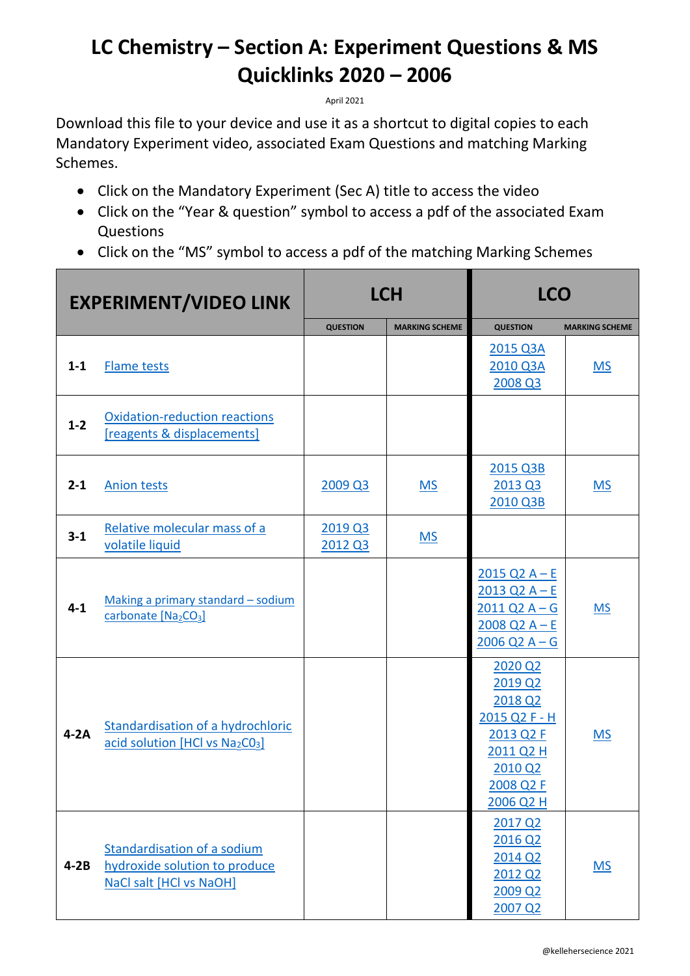## **LC Chemistry – Section A: Experiment Questions & MS Quicklinks 2020 – 2006**

April 2021

Download this file to your device and use it as a shortcut to digital copies to each Mandatory Experiment video, associated Exam Questions and matching Marking Schemes.

- Click on the Mandatory Experiment (Sec A) title to access the video
- Click on the "Year & question" symbol to access a pdf of the associated Exam Questions
- Click on the "MS" symbol to access a pdf of the matching Marking Schemes

| <b>EXPERIMENT/VIDEO LINK</b> |                                                                                         | <b>LCH</b>         |                       | <b>LCO</b>                                                                                                                                              |                       |
|------------------------------|-----------------------------------------------------------------------------------------|--------------------|-----------------------|---------------------------------------------------------------------------------------------------------------------------------------------------------|-----------------------|
|                              |                                                                                         | <b>QUESTION</b>    | <b>MARKING SCHEME</b> | <b>QUESTION</b>                                                                                                                                         | <b>MARKING SCHEME</b> |
| $1 - 1$                      | <b>Flame tests</b>                                                                      |                    |                       | 2015 Q3A<br>2010 Q3A<br>2008 Q3                                                                                                                         | <b>MS</b>             |
| $1 - 2$                      | <b>Oxidation-reduction reactions</b><br>[reagents & displacements]                      |                    |                       |                                                                                                                                                         |                       |
| $2 - 1$                      | <b>Anion tests</b>                                                                      | 2009 Q3            | <b>MS</b>             | 2015 Q3B<br>2013 Q3<br>2010 Q3B                                                                                                                         | <b>MS</b>             |
| $3 - 1$                      | Relative molecular mass of a<br>volatile liquid                                         | 2019 Q3<br>2012 Q3 | <b>MS</b>             |                                                                                                                                                         |                       |
| $4 - 1$                      | Making a primary standard - sodium<br>carbonate [Na2CO3]                                |                    |                       | $2015$ Q <sub>2</sub> A – E<br>$2013$ Q <sub>2</sub> A – E<br>$2011$ Q <sub>2</sub> A – G<br>$2008$ Q <sub>2</sub> A – E<br>$2006$ Q <sub>2</sub> A – G | <b>MS</b>             |
| $4-2A$                       | <b>Standardisation of a hydrochloric</b><br>acid solution [HCl vs Na2CO3]               |                    |                       | 2020 Q2<br>2019 Q2<br>2018 Q2<br>2015 Q2 F - H<br>2013 Q2 F<br>2011 Q2 H<br>2010 Q2<br>2008 Q2 F<br>2006 Q2 H                                           | <b>MS</b>             |
| $4-2B$                       | Standardisation of a sodium<br>hydroxide solution to produce<br>NaCl salt [HCl vs NaOH] |                    |                       | 2017 Q2<br>2016 Q2<br>2014 Q2<br>2012 Q2<br>2009 Q2<br>2007 Q2                                                                                          | <b>MS</b>             |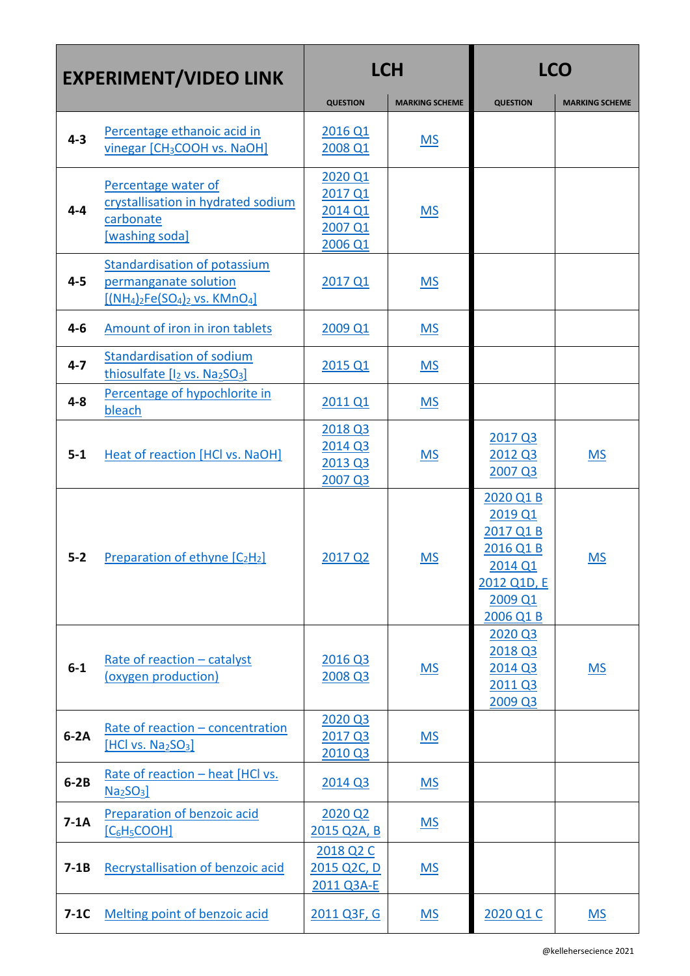| <b>EXPERIMENT/VIDEO LINK</b> |                                                                                                       | <b>LCH</b>                                          |                       | <b>LCO</b>                                                                                       |                           |
|------------------------------|-------------------------------------------------------------------------------------------------------|-----------------------------------------------------|-----------------------|--------------------------------------------------------------------------------------------------|---------------------------|
|                              |                                                                                                       | <b>QUESTION</b>                                     | <b>MARKING SCHEME</b> | <b>QUESTION</b>                                                                                  | <b>MARKING SCHEME</b>     |
| $4 - 3$                      | Percentage ethanoic acid in<br>vinegar [CH <sub>3</sub> COOH vs. NaOH]                                | 2016 Q1<br>2008 Q1                                  | <b>MS</b>             |                                                                                                  |                           |
| $4 - 4$                      | Percentage water of<br>crystallisation in hydrated sodium<br>carbonate<br>[washing soda]              | 2020 Q1<br>2017 Q1<br>2014 Q1<br>2007 Q1<br>2006 Q1 | <b>MS</b>             |                                                                                                  |                           |
| $4 - 5$                      | <b>Standardisation of potassium</b><br>permanganate solution<br>$[({NH_4})_2Fe(SO_4)_2$ vs. $KMnO_4]$ | 2017 Q1                                             | <b>MS</b>             |                                                                                                  |                           |
| $4 - 6$                      | Amount of iron in iron tablets                                                                        | 2009 Q1                                             | <u>MS</u>             |                                                                                                  |                           |
| $4 - 7$                      | <b>Standardisation of sodium</b><br>thiosulfate [I <sub>2</sub> vs. Na <sub>2</sub> SO <sub>3</sub> ] | 2015 Q1                                             | <b>MS</b>             |                                                                                                  |                           |
| $4 - 8$                      | Percentage of hypochlorite in<br>bleach                                                               | 2011 Q1                                             | <b>MS</b>             |                                                                                                  |                           |
| $5 - 1$                      | <b>Heat of reaction [HCl vs. NaOH]</b>                                                                | 2018 Q3<br>2014 Q3<br>2013 Q3<br>2007 Q3            | <u>MS</u>             | 2017 Q3<br>2012 Q3<br>2007 Q3                                                                    | $MS$                      |
| $5 - 2$                      | Preparation of ethyne $[C_2H_2]$                                                                      | 2017 Q2                                             | <b>MS</b>             | 2020 Q1 B<br>2019 Q1<br>2017 Q1 B<br>2016 Q1 B<br>2014 Q1<br>2012 Q1D, E<br>2009 Q1<br>2006 Q1 B | <b>MS</b>                 |
| $6-1$                        | Rate of reaction - catalyst<br>(oxygen production)                                                    | 2016 Q3<br>2008 Q3                                  | MS                    | 2020 Q3<br>2018 Q3<br>2014 Q3<br>2011 Q3<br>2009 Q3                                              | $\underline{\mathsf{MS}}$ |
| $6-2A$                       | Rate of reaction - concentration<br>[HCl vs. Na <sub>2</sub> SO <sub>3</sub> ]                        | 2020 Q3<br>2017 Q3<br>2010 Q3                       | <b>MS</b>             |                                                                                                  |                           |
| $6-2B$                       | Rate of reaction - heat [HCl vs.<br>Na <sub>2</sub> SO <sub>3</sub>                                   | 2014 Q3                                             | <u>MS</u>             |                                                                                                  |                           |
| $7-1A$                       | <b>Preparation of benzoic acid</b><br>$[C_6H_5COOH]$                                                  | 2020 Q2<br>2015 Q2A, B                              | MS                    |                                                                                                  |                           |
| $7-1B$                       | <b>Recrystallisation of benzoic acid</b>                                                              | 2018 Q2 C<br>2015 Q2C, D<br>2011 Q3A-E              | <b>MS</b>             |                                                                                                  |                           |
| $7-1C$                       | Melting point of benzoic acid                                                                         | 2011 Q3F, G                                         | <u>MS</u>             | 2020 Q1 C                                                                                        | M <sub>S</sub>            |